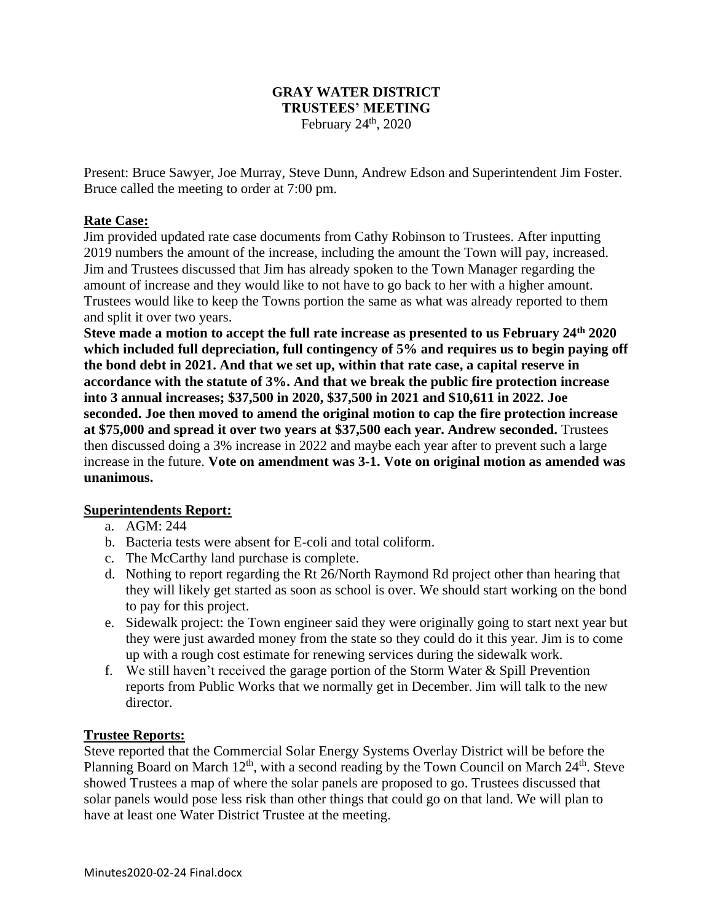# **GRAY WATER DISTRICT TRUSTEES' MEETING** February  $24<sup>th</sup>$ , 2020

Present: Bruce Sawyer, Joe Murray, Steve Dunn, Andrew Edson and Superintendent Jim Foster. Bruce called the meeting to order at 7:00 pm.

# **Rate Case:**

Jim provided updated rate case documents from Cathy Robinson to Trustees. After inputting 2019 numbers the amount of the increase, including the amount the Town will pay, increased. Jim and Trustees discussed that Jim has already spoken to the Town Manager regarding the amount of increase and they would like to not have to go back to her with a higher amount. Trustees would like to keep the Towns portion the same as what was already reported to them and split it over two years.

**Steve made a motion to accept the full rate increase as presented to us February 24th 2020 which included full depreciation, full contingency of 5% and requires us to begin paying off the bond debt in 2021. And that we set up, within that rate case, a capital reserve in accordance with the statute of 3%. And that we break the public fire protection increase into 3 annual increases; \$37,500 in 2020, \$37,500 in 2021 and \$10,611 in 2022. Joe seconded. Joe then moved to amend the original motion to cap the fire protection increase at \$75,000 and spread it over two years at \$37,500 each year. Andrew seconded.** Trustees then discussed doing a 3% increase in 2022 and maybe each year after to prevent such a large increase in the future. **Vote on amendment was 3-1. Vote on original motion as amended was unanimous.**

### **Superintendents Report:**

- a. AGM: 244
- b. Bacteria tests were absent for E-coli and total coliform.
- c. The McCarthy land purchase is complete.
- d. Nothing to report regarding the Rt 26/North Raymond Rd project other than hearing that they will likely get started as soon as school is over. We should start working on the bond to pay for this project.
- e. Sidewalk project: the Town engineer said they were originally going to start next year but they were just awarded money from the state so they could do it this year. Jim is to come up with a rough cost estimate for renewing services during the sidewalk work.
- f. We still haven't received the garage portion of the Storm Water & Spill Prevention reports from Public Works that we normally get in December. Jim will talk to the new director.

### **Trustee Reports:**

Steve reported that the Commercial Solar Energy Systems Overlay District will be before the Planning Board on March  $12<sup>th</sup>$ , with a second reading by the Town Council on March  $24<sup>th</sup>$ . Steve showed Trustees a map of where the solar panels are proposed to go. Trustees discussed that solar panels would pose less risk than other things that could go on that land. We will plan to have at least one Water District Trustee at the meeting.